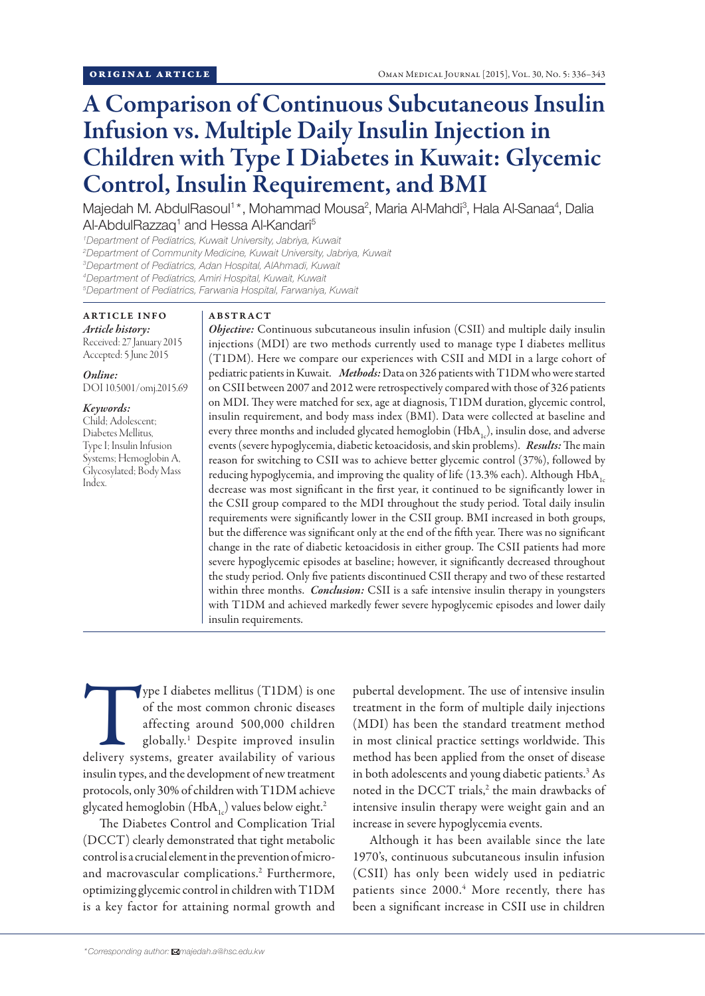# A Comparison of Continuous Subcutaneous Insulin Infusion vs. Multiple Daily Insulin Injection in Children with Type I Diabetes in Kuwait: Glycemic Control, Insulin Requirement, and BMI

Majedah M. AbdulRasoul<sup>1\*</sup>, Mohammad Mousa<sup>2</sup>, Maria Al-Mahdi<sup>3</sup>, Hala Al-Sanaa<sup>4</sup>, Dalia Al-AbdulRazzaq<sup>1</sup> and Hessa Al-Kandari<sup>5</sup>

 *Department of Pediatrics, Kuwait University, Jabriya, Kuwait Department of Community Medicine, Kuwait University, Jabriya, Kuwait Department of Pediatrics, Adan Hospital, AlAhmadi, Kuwait Department of Pediatrics, Amiri Hospital, Kuwait, Kuwait Department of Pediatrics, Farwania Hospital, Farwaniya, Kuwait*

#### ARTICLE INFO *Article history:*  Received: 27 January 2015

Accepted: 5 June 2015

*Online:* DOI 10.5001/omj.2015.69

## *Keywords:*

Child; Adolescent; Diabetes Mellitus, Type I; Insulin Infusion Systems; Hemoglobin A, Glycosylated; Body Mass Index.

### ABSTRACT

*Objective:* Continuous subcutaneous insulin infusion (CSII) and multiple daily insulin injections (MDI) are two methods currently used to manage type I diabetes mellitus (T1DM). Here we compare our experiences with CSII and MDI in a large cohort of pediatric patients in Kuwait. *Methods:* Data on 326 patients with T1DM who were started on CSII between 2007 and 2012 were retrospectively compared with those of 326 patients on MDI. They were matched for sex, age at diagnosis, T1DM duration, glycemic control, insulin requirement, and body mass index (BMI). Data were collected at baseline and every three months and included glycated hemoglobin  $(HbA<sub>1c</sub>)$ , insulin dose, and adverse events (severe hypoglycemia, diabetic ketoacidosis, and skin problems). *Results:* The main reason for switching to CSII was to achieve better glycemic control (37%), followed by reducing hypoglycemia, and improving the quality of life (13.3% each). Although  $HbA<sub>1c</sub>$ decrease was most significant in the first year, it continued to be significantly lower in the CSII group compared to the MDI throughout the study period. Total daily insulin requirements were significantly lower in the CSII group. BMI increased in both groups, but the difference was significant only at the end of the fifth year. There was no significant change in the rate of diabetic ketoacidosis in either group. The CSII patients had more severe hypoglycemic episodes at baseline; however, it significantly decreased throughout the study period. Only five patients discontinued CSII therapy and two of these restarted within three months. *Conclusion:* CSII is a safe intensive insulin therapy in youngsters with T1DM and achieved markedly fewer severe hypoglycemic episodes and lower daily insulin requirements.

Type I diabetes mellitus (T1DM) is one<br>
of the most common chronic diseases<br>
affecting around 500,000 children<br>
globally.<sup>1</sup> Despite improved insulin<br>
delivery systems, greater availability of various of the most common chronic diseases affecting around 500,000 children globally.1 Despite improved insulin insulin types, and the development of new treatment protocols, only 30% of children with T1DM achieve glycated hemoglobin (HbA<sub>1c</sub>) values below eight.<sup>2</sup>

The Diabetes Control and Complication Trial (DCCT) clearly demonstrated that tight metabolic control is a crucial element in the prevention of microand macrovascular complications.2 Furthermore, optimizing glycemic control in children with T1DM is a key factor for attaining normal growth and

pubertal development. The use of intensive insulin treatment in the form of multiple daily injections (MDI) has been the standard treatment method in most clinical practice settings worldwide. This method has been applied from the onset of disease in both adolescents and young diabetic patients.3 As noted in the DCCT trials,<sup>2</sup> the main drawbacks of intensive insulin therapy were weight gain and an increase in severe hypoglycemia events.

Although it has been available since the late 1970's, continuous subcutaneous insulin infusion (CSII) has only been widely used in pediatric patients since 2000.4 More recently, there has been a significant increase in CSII use in children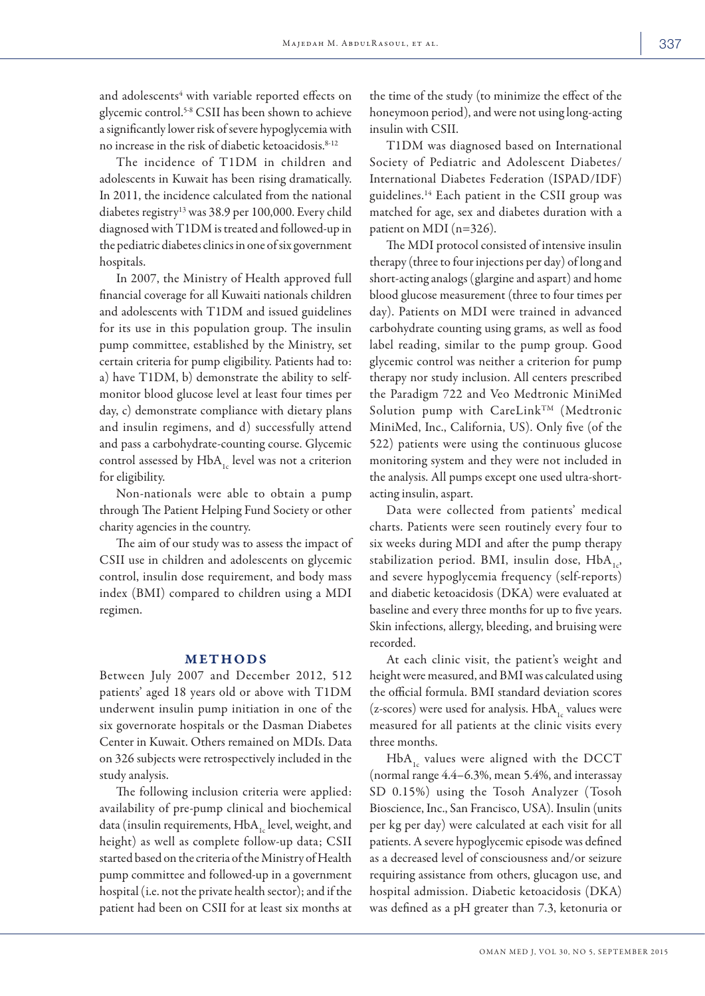and adolescents<sup>4</sup> with variable reported effects on glycemic control.5-8 CSII has been shown to achieve a significantly lower risk of severe hypoglycemia with no increase in the risk of diabetic ketoacidosis.<sup>8-12</sup>

The incidence of T1DM in children and adolescents in Kuwait has been rising dramatically. In 2011, the incidence calculated from the national diabetes registry<sup>13</sup> was 38.9 per 100,000. Every child diagnosed with T1DM is treated and followed-up in the pediatric diabetes clinics in one of six government hospitals.

In 2007, the Ministry of Health approved full financial coverage for all Kuwaiti nationals children and adolescents with T1DM and issued guidelines for its use in this population group. The insulin pump committee, established by the Ministry, set certain criteria for pump eligibility. Patients had to: a) have T1DM, b) demonstrate the ability to selfmonitor blood glucose level at least four times per day, c) demonstrate compliance with dietary plans and insulin regimens, and d) successfully attend and pass a carbohydrate-counting course. Glycemic control assessed by  $HbA_{1c}$  level was not a criterion for eligibility.

Non-nationals were able to obtain a pump through The Patient Helping Fund Society or other charity agencies in the country.

The aim of our study was to assess the impact of CSII use in children and adolescents on glycemic control, insulin dose requirement, and body mass index (BMI) compared to children using a MDI regimen.

### METHODS

Between July 2007 and December 2012, 512 patients' aged 18 years old or above with T1DM underwent insulin pump initiation in one of the six governorate hospitals or the Dasman Diabetes Center in Kuwait. Others remained on MDIs. Data on 326 subjects were retrospectively included in the study analysis.

The following inclusion criteria were applied: availability of pre-pump clinical and biochemical data (insulin requirements,  $HbA_{1c}$  level, weight, and height) as well as complete follow-up data; CSII started based on the criteria of the Ministry of Health pump committee and followed-up in a government hospital (i.e. not the private health sector); and if the patient had been on CSII for at least six months at the time of the study (to minimize the effect of the honeymoon period), and were not using long-acting insulin with CSII.

T1DM was diagnosed based on International Society of Pediatric and Adolescent Diabetes/ International Diabetes Federation (ISPAD/IDF) guidelines.14 Each patient in the CSII group was matched for age, sex and diabetes duration with a patient on MDI (n=326).

The MDI protocol consisted of intensive insulin therapy (three to four injections per day) of long and short-acting analogs (glargine and aspart) and home blood glucose measurement (three to four times per day). Patients on MDI were trained in advanced carbohydrate counting using grams, as well as food label reading, similar to the pump group. Good glycemic control was neither a criterion for pump therapy nor study inclusion. All centers prescribed the Paradigm 722 and Veo Medtronic MiniMed Solution pump with CareLink<sup>TM</sup> (Medtronic MiniMed, Inc., California, US). Only five (of the 522) patients were using the continuous glucose monitoring system and they were not included in the analysis. All pumps except one used ultra-shortacting insulin, aspart.

Data were collected from patients' medical charts. Patients were seen routinely every four to six weeks during MDI and after the pump therapy stabilization period. BMI, insulin dose,  $HbA_{1c}$ , and severe hypoglycemia frequency (self-reports) and diabetic ketoacidosis (DKA) were evaluated at baseline and every three months for up to five years. Skin infections, allergy, bleeding, and bruising were recorded.

At each clinic visit, the patient's weight and height were measured, and BMI was calculated using the official formula. BMI standard deviation scores (z-scores) were used for analysis.  $HbA_1$  values were measured for all patients at the clinic visits every three months.

HbA, values were aligned with the DCCT (normal range 4.4–6.3%, mean 5.4%, and interassay SD 0.15%) using the Tosoh Analyzer (Tosoh Bioscience, Inc., San Francisco, USA). Insulin (units per kg per day) were calculated at each visit for all patients. A severe hypoglycemic episode was defined as a decreased level of consciousness and/or seizure requiring assistance from others, glucagon use, and hospital admission. Diabetic ketoacidosis (DKA) was defined as a pH greater than 7.3, ketonuria or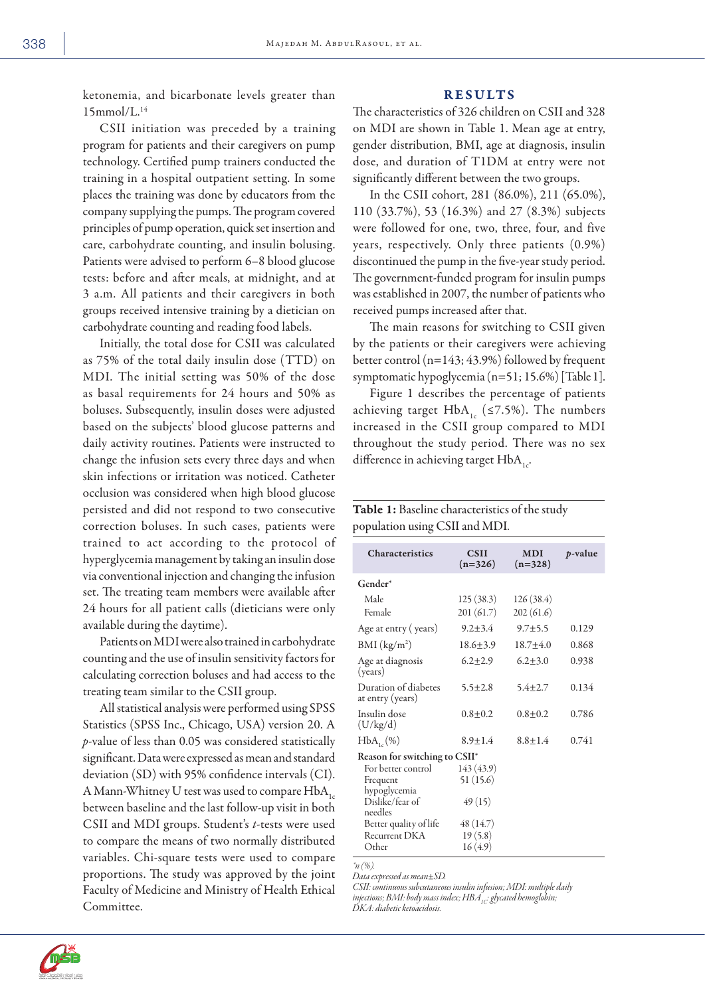ketonemia, and bicarbonate levels greater than 15mmol/L.14

CSII initiation was preceded by a training program for patients and their caregivers on pump technology. Certified pump trainers conducted the training in a hospital outpatient setting. In some places the training was done by educators from the company supplying the pumps. The program covered principles of pump operation, quick set insertion and care, carbohydrate counting, and insulin bolusing. Patients were advised to perform 6–8 blood glucose tests: before and after meals, at midnight, and at 3 a.m. All patients and their caregivers in both groups received intensive training by a dietician on carbohydrate counting and reading food labels.

Initially, the total dose for CSII was calculated as 75% of the total daily insulin dose (TTD) on MDI. The initial setting was 50% of the dose as basal requirements for 24 hours and 50% as boluses. Subsequently, insulin doses were adjusted based on the subjects' blood glucose patterns and daily activity routines. Patients were instructed to change the infusion sets every three days and when skin infections or irritation was noticed. Catheter occlusion was considered when high blood glucose persisted and did not respond to two consecutive correction boluses. In such cases, patients were trained to act according to the protocol of hyperglycemia management by taking an insulin dose via conventional injection and changing the infusion set. The treating team members were available after 24 hours for all patient calls (dieticians were only available during the daytime).

Patients on MDI were also trained in carbohydrate counting and the use of insulin sensitivity factors for calculating correction boluses and had access to the treating team similar to the CSII group.

All statistical analysis were performed using SPSS Statistics (SPSS Inc., Chicago, USA) version 20. A *p*-value of less than 0.05 was considered statistically significant. Data were expressed as mean and standard deviation (SD) with 95% confidence intervals (CI). A Mann-Whitney U test was used to compare  $HbA_{1c}$ between baseline and the last follow-up visit in both CSII and MDI groups. Student's *t-*tests were used to compare the means of two normally distributed variables. Chi-square tests were used to compare proportions. The study was approved by the joint Faculty of Medicine and Ministry of Health Ethical Committee.

#### RESULTS

The characteristics of 326 children on CSII and 328 on MDI are shown in Table 1. Mean age at entry, gender distribution, BMI, age at diagnosis, insulin dose, and duration of T1DM at entry were not significantly different between the two groups.

In the CSII cohort, 281 (86.0%), 211 (65.0%), 110 (33.7%), 53 (16.3%) and 27 (8.3%) subjects were followed for one, two, three, four, and five years, respectively. Only three patients (0.9%) discontinued the pump in the five-year study period. The government-funded program for insulin pumps was established in 2007, the number of patients who received pumps increased after that.

The main reasons for switching to CSII given by the patients or their caregivers were achieving better control (n=143; 43.9%) followed by frequent symptomatic hypoglycemia (n=51; 15.6%) [Table 1].

Figure 1 describes the percentage of patients achieving target  $HbA_{1c}$  (≤7.5%). The numbers increased in the CSII group compared to MDI throughout the study period. There was no sex difference in achieving target  $HbA_{1c}$ .

| <b>Table 1:</b> Baseline characteristics of the study |  |
|-------------------------------------------------------|--|
| population using CSII and MDI.                        |  |
|                                                       |  |

| <b>Characteristics</b>                   | <b>CSII</b><br>$(n=326)$ | <b>MDI</b><br>$(n=328)$ | <i>p</i> -value |  |
|------------------------------------------|--------------------------|-------------------------|-----------------|--|
| Gender*                                  |                          |                         |                 |  |
| Male                                     | 125(38.3)                | 126(38.4)               |                 |  |
| Female                                   | 201 (61.7)               | 202(61.6)               |                 |  |
| Age at entry (years)                     | $9.2 + 3.4$              | $9.7 + 5.5$             | 0.129           |  |
| BMI (kg/m <sup>2</sup> )                 | $18.6 + 3.9$             | $18.7 + 4.0$            | 0.868           |  |
| Age at diagnosis<br>(years)              | $6.2 + 2.9$              | $6.2 + 3.0$             | 0.938           |  |
| Duration of diabetes<br>at entry (years) | $5.5 + 2.8$              | $5.4 + 2.7$             | 0.134           |  |
| Insulin dose<br>(U/kg/d)                 | $0.8 + 0.2$              | $0.8 + 0.2$             | 0.786           |  |
| $HbA_{1c}(\%)$                           | $8.9 + 1.4$              | $8.8 + 1.4$             | 0.741           |  |
| Reason for switching to CSII*            |                          |                         |                 |  |
| For better control                       | 143(43.9)                |                         |                 |  |
| Frequent<br>hypoglycemia                 | 51 (15.6)                |                         |                 |  |
| Dislike/fear of<br>needles               | 49(15)                   |                         |                 |  |
| Better quality of life                   | 48 (14.7)                |                         |                 |  |
| Recurrent DKA                            | 19(5.8)                  |                         |                 |  |
| Other                                    | 16(4.9)                  |                         |                 |  |
| $\hat{n}$ (%).                           |                          |                         |                 |  |

*Data expressed as mean*±*SD.*

*CSII: continuous subcutaneous insulin infusion; MDI: multiple daily*  injections; BMI: body mass index; HBA<sub>1C</sub>: glycated hemoglobin;

*DKA: diabetic ketoacidosis.*

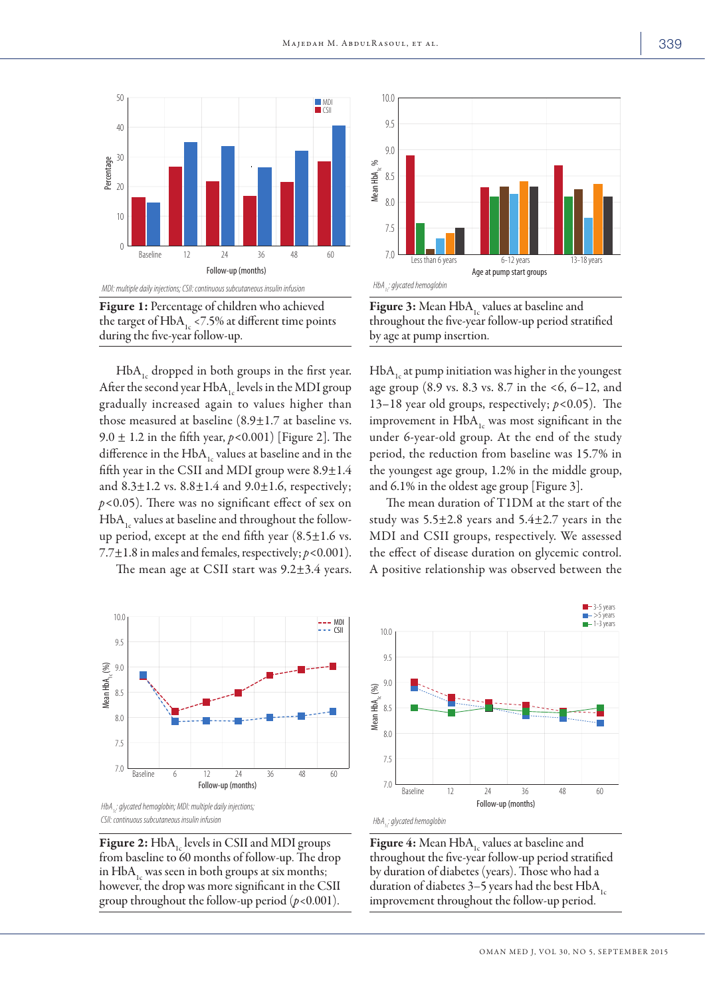



 $HbA<sub>1c</sub>$  dropped in both groups in the first year. After the second year  $HbA_{1c}$  levels in the MDI group gradually increased again to values higher than those measured at baseline  $(8.9 \pm 1.7)$  at baseline vs. 9.0 ± 1.2 in the fifth year, *p<*0.001) [Figure 2]. The difference in the  $HbA_{1c}$  values at baseline and in the fifth year in the CSII and MDI group were  $8.9 \pm 1.4$ and  $8.3 \pm 1.2$  vs.  $8.8 \pm 1.4$  and  $9.0 \pm 1.6$ , respectively; *p<*0.05). There was no significant effect of sex on  $HbA<sub>1c</sub>$  values at baseline and throughout the followup period, except at the end fifth year  $(8.5 \pm 1.6 \text{ vs.})$ 7.7±1.8 in males and females, respectively; *p<*0.001).

The mean age at CSII start was  $9.2 \pm 3.4$  years.





**Figure 2:**  $HbA_{1c}$  levels in CSII and MDI groups from baseline to 60 months of follow-up. The drop in  $HbA<sub>1</sub>$  was seen in both groups at six months; however, the drop was more significant in the CSII group throughout the follow-up period (*p*<0.001).



Figure 3: Mean  $HbA<sub>1c</sub>$  values at baseline and throughout the five-year follow-up period stratified by age at pump insertion.

 $HbA<sub>1</sub>$  at pump initiation was higher in the youngest age group (8.9 vs. 8.3 vs. 8.7 in the <6, 6–12, and 13–18 year old groups, respectively; *p<*0.05). The improvement in  $HbA<sub>1c</sub>$  was most significant in the under 6-year-old group. At the end of the study period, the reduction from baseline was 15.7% in the youngest age group, 1.2% in the middle group, and 6.1% in the oldest age group [Figure 3].

The mean duration of T1DM at the start of the study was  $5.5\pm2.8$  years and  $5.4\pm2.7$  years in the MDI and CSII groups, respectively. We assessed the effect of disease duration on glycemic control. A positive relationship was observed between the



**Figure 4:** Mean  $HbA_{1c}$  values at baseline and throughout the five-year follow-up period stratified by duration of diabetes (years). Those who had a duration of diabetes 3–5 years had the best  $HbA<sub>1c</sub>$ improvement throughout the follow-up period.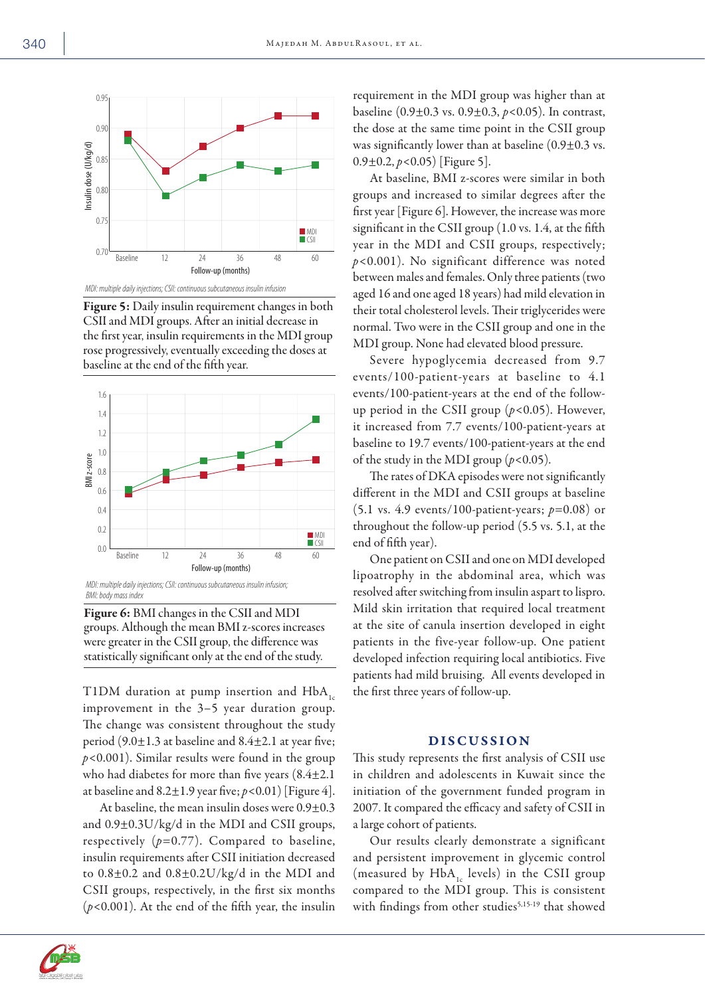

Figure 5: Daily insulin requirement changes in both CSII and MDI groups. After an initial decrease in the first year, insulin requirements in the MDI group rose progressively, eventually exceeding the doses at baseline at the end of the fifth year.



*BMI: body mass index*



T1DM duration at pump insertion and  $HbA<sub>1c</sub>$ improvement in the 3–5 year duration group. The change was consistent throughout the study period  $(9.0 \pm 1.3$  at baseline and  $8.4 \pm 2.1$  at year five; *p<*0.001). Similar results were found in the group who had diabetes for more than five years (8.4±2.1 at baseline and  $8.2 \pm 1.9$  year five;  $p < 0.01$ ) [Figure 4].

At baseline, the mean insulin doses were 0.9±0.3 and 0.9±0.3U/kg/d in the MDI and CSII groups, respectively  $(p=0.77)$ . Compared to baseline, insulin requirements after CSII initiation decreased to  $0.8\pm0.2$  and  $0.8\pm0.2$ U/kg/d in the MDI and CSII groups, respectively, in the first six months (*p<*0.001). At the end of the fifth year, the insulin requirement in the MDI group was higher than at baseline (0.9±0.3 vs. 0.9±0.3, *p<*0.05). In contrast, the dose at the same time point in the CSII group was significantly lower than at baseline  $(0.9\pm0.3 \text{ vs.})$ 0.9±0.2, *p<*0.05) [Figure 5].

At baseline, BMI z-scores were similar in both groups and increased to similar degrees after the first year [Figure 6]. However, the increase was more significant in the CSII group (1.0 vs. 1.4, at the fifth year in the MDI and CSII groups, respectively; *p<*0.001). No significant difference was noted between males and females. Only three patients (two aged 16 and one aged 18 years) had mild elevation in their total cholesterol levels. Their triglycerides were normal. Two were in the CSII group and one in the MDI group. None had elevated blood pressure.

Severe hypoglycemia decreased from 9.7 events/100-patient-years at baseline to 4.1 events/100-patient-years at the end of the followup period in the CSII group (*p<*0.05). However, it increased from 7.7 events/100-patient-years at baseline to 19.7 events/100-patient-years at the end of the study in the MDI group (*p<*0.05).

The rates of DKA episodes were not significantly different in the MDI and CSII groups at baseline (5.1 vs. 4.9 events/100-patient-years; *p*=0.08) or throughout the follow-up period (5.5 vs. 5.1, at the end of fifth year).

One patient on CSII and one on MDI developed lipoatrophy in the abdominal area, which was resolved after switching from insulin aspart to lispro. Mild skin irritation that required local treatment at the site of canula insertion developed in eight patients in the five-year follow-up. One patient developed infection requiring local antibiotics. Five patients had mild bruising. All events developed in the first three years of follow-up.

### DISCUSSION

This study represents the first analysis of CSII use in children and adolescents in Kuwait since the initiation of the government funded program in 2007. It compared the efficacy and safety of CSII in a large cohort of patients.

Our results clearly demonstrate a significant and persistent improvement in glycemic control (measured by  $HbA_{1c}$  levels) in the CSII group compared to the MDI group. This is consistent with findings from other studies<sup>5,15-19</sup> that showed



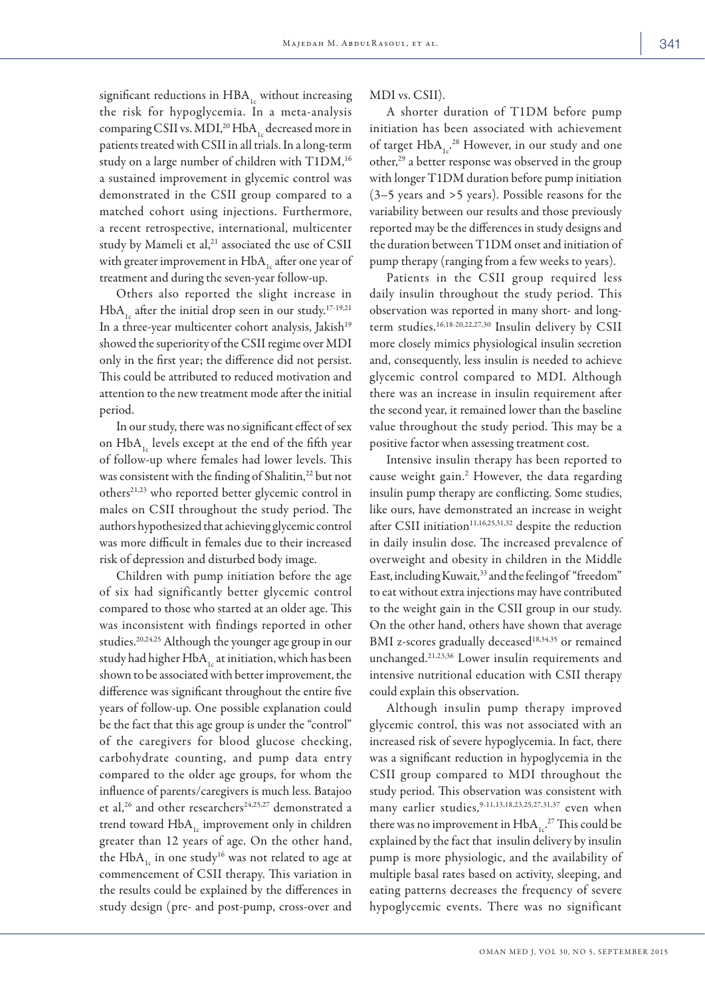significant reductions in  $HBA_{1c}$  without increasing the risk for hypoglycemia. In a meta-analysis comparing CSII vs. MDI,<sup>20</sup> HbA<sub>1</sub> decreased more in patients treated with CSII in all trials. In a long-term study on a large number of children with T1DM,<sup>16</sup> a sustained improvement in glycemic control was demonstrated in the CSII group compared to a matched cohort using injections. Furthermore, a recent retrospective, international, multicenter study by Mameli et al,<sup>21</sup> associated the use of CSII with greater improvement in  $HbA_{1c}$  after one year of treatment and during the seven-year follow-up.

Others also reported the slight increase in  $HbA_{1c}$  after the initial drop seen in our study.<sup>17-19,21</sup> In a three-year multicenter cohort analysis, Jakish<sup>19</sup> showed the superiority of the CSII regime over MDI only in the first year; the difference did not persist. This could be attributed to reduced motivation and attention to the new treatment mode after the initial period.

In our study, there was no significant effect of sex on  $HbA_{1c}$  levels except at the end of the fifth year of follow-up where females had lower levels. This was consistent with the finding of Shalitin,<sup>22</sup> but not others21,23 who reported better glycemic control in males on CSII throughout the study period. The authors hypothesized that achieving glycemic control was more difficult in females due to their increased risk of depression and disturbed body image.

Children with pump initiation before the age of six had significantly better glycemic control compared to those who started at an older age. This was inconsistent with findings reported in other studies.20,24,25 Although the younger age group in our study had higher  $HbA_1$  at initiation, which has been shown to be associated with better improvement, the difference was significant throughout the entire five years of follow-up. One possible explanation could be the fact that this age group is under the "control" of the caregivers for blood glucose checking, carbohydrate counting, and pump data entry compared to the older age groups, for whom the influence of parents/caregivers is much less. Batajoo et al,<sup>26</sup> and other researchers<sup>24,25,27</sup> demonstrated a trend toward  $HbA<sub>1c</sub>$  improvement only in children greater than 12 years of age. On the other hand, the  $HbA_{1c}$  in one study<sup>16</sup> was not related to age at commencement of CSII therapy. This variation in the results could be explained by the differences in study design (pre- and post-pump, cross-over and MDI vs. CSII).

A shorter duration of T1DM before pump initiation has been associated with achievement of target  $HbA_{1c}^{28}$  However, in our study and one other,29 a better response was observed in the group with longer T1DM duration before pump initiation (3–5 years and >5 years). Possible reasons for the variability between our results and those previously reported may be the differences in study designs and the duration between T1DM onset and initiation of pump therapy (ranging from a few weeks to years).

Patients in the CSII group required less daily insulin throughout the study period. This observation was reported in many short- and longterm studies.16,18-20,22,27,30 Insulin delivery by CSII more closely mimics physiological insulin secretion and, consequently, less insulin is needed to achieve glycemic control compared to MDI. Although there was an increase in insulin requirement after the second year, it remained lower than the baseline value throughout the study period. This may be a positive factor when assessing treatment cost.

Intensive insulin therapy has been reported to cause weight gain.<sup>2</sup> However, the data regarding insulin pump therapy are conflicting. Some studies, like ours, have demonstrated an increase in weight after CSII initiation<sup>11,16,25,31,32</sup> despite the reduction in daily insulin dose. The increased prevalence of overweight and obesity in children in the Middle East, including Kuwait,<sup>33</sup> and the feeling of "freedom" to eat without extra injections may have contributed to the weight gain in the CSII group in our study. On the other hand, others have shown that average BMI z-scores gradually deceased<sup>18,34,35</sup> or remained unchanged.21,23,36 Lower insulin requirements and intensive nutritional education with CSII therapy could explain this observation.

Although insulin pump therapy improved glycemic control, this was not associated with an increased risk of severe hypoglycemia. In fact, there was a significant reduction in hypoglycemia in the CSII group compared to MDI throughout the study period. This observation was consistent with many earlier studies,<sup>9-11,13,18,23,25,27,31,37</sup> even when there was no improvement in  $HbA_{1c}^2$ .<sup>27</sup> This could be explained by the fact that insulin delivery by insulin pump is more physiologic, and the availability of multiple basal rates based on activity, sleeping, and eating patterns decreases the frequency of severe hypoglycemic events. There was no significant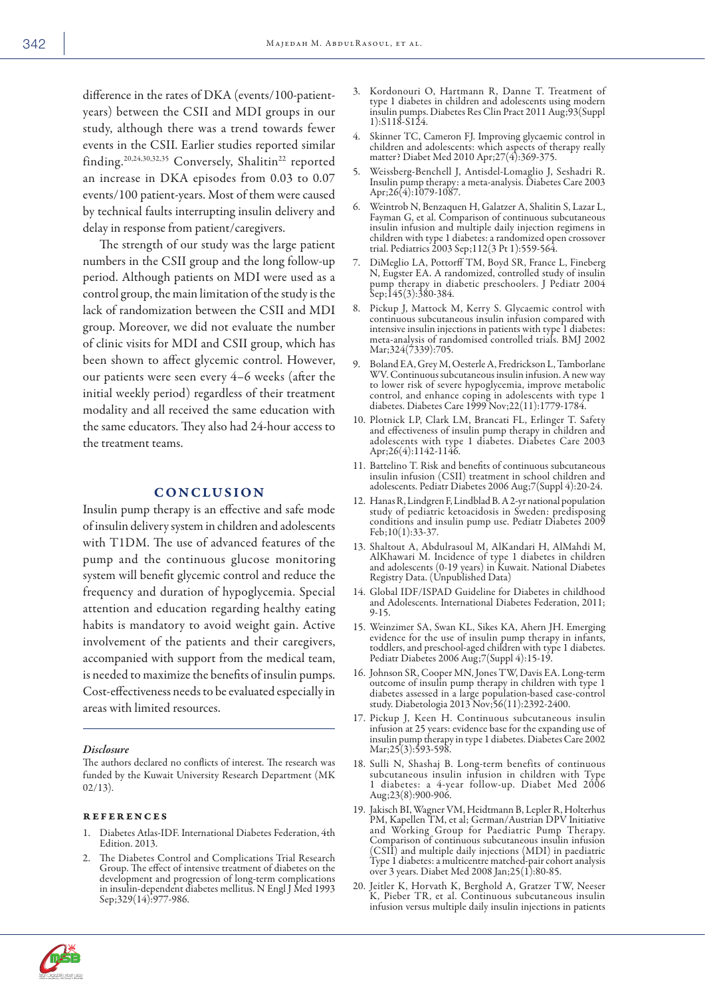difference in the rates of DKA (events/100-patientyears) between the CSII and MDI groups in our study, although there was a trend towards fewer events in the CSII. Earlier studies reported similar finding.20,24,30,32,35 Conversely, Shalitin22 reported an increase in DKA episodes from 0.03 to 0.07 events/100 patient-years. Most of them were caused by technical faults interrupting insulin delivery and delay in response from patient/caregivers.

The strength of our study was the large patient numbers in the CSII group and the long follow-up period. Although patients on MDI were used as a control group, the main limitation of the study is the lack of randomization between the CSII and MDI group. Moreover, we did not evaluate the number of clinic visits for MDI and CSII group, which has been shown to affect glycemic control. However, our patients were seen every 4–6 weeks (after the initial weekly period) regardless of their treatment modality and all received the same education with the same educators. They also had 24-hour access to the treatment teams.

#### **CONCLUSION**

Insulin pump therapy is an effective and safe mode of insulin delivery system in children and adolescents with T1DM. The use of advanced features of the pump and the continuous glucose monitoring system will benefit glycemic control and reduce the frequency and duration of hypoglycemia. Special attention and education regarding healthy eating habits is mandatory to avoid weight gain. Active involvement of the patients and their caregivers, accompanied with support from the medical team, is needed to maximize the benefits of insulin pumps. Cost-effectiveness needs to be evaluated especially in areas with limited resources.

#### *Disclosure*

The authors declared no conflicts of interest. The research was funded by the Kuwait University Research Department (MK 02/13).

#### references

- 1. Diabetes Atlas-IDF. International Diabetes Federation, 4th Edition. 2013.
- 2. The Diabetes Control and Complications Trial Research Group. The effect of intensive treatment of diabetes on the development and progression of long-term complications in insulin-dependent diabetes mellitus. N Engl J Med 1993 Sep;329(14):977-986.
- 3. Kordonouri O, Hartmann R, Danne T. Treatment of type 1 diabetes in children and adolescents using modern insulin pumps. Diabetes Res Clin Pract 2011 Aug;93(Suppl 1):S118-S124.
- 4. Skinner TC, Cameron FJ. Improving glycaemic control in children and adolescents: which aspects of therapy really matter? Diabet Med 2010 Apr;27(4):369-375.
- 5. Weissberg-Benchell J, Antisdel-Lomaglio J, Seshadri R. Insulin pump therapy: a meta-analysis. Diabetes Care 2003 Apr;26(4):1079-1087.
- 6. Weintrob N, Benzaquen H, Galatzer A, Shalitin S, Lazar L, Fayman G, et al. Comparison of continuous subcutaneous insulin infusion and multiple daily injection regimens in children with type 1 diabetes: a randomized open crossover trial. Pediatrics 2003 Sep;112(3 Pt 1):559-564.
- 7. DiMeglio LA, Pottorff TM, Boyd SR, France L, Fineberg N, Eugster EA. A randomized, controlled study of insulin pump therapy in diabetic preschoolers. J Pediatr 2004 Sep;145(3):380-384.
- 8. Pickup J, Mattock M, Kerry S. Glycaemic control with continuous subcutaneous insulin infusion compared with intensive insulin injections in patients with type 1 diabetes: meta-analysis of randomised controlled trials. BMJ 2002 Mar;324(7339):705.
- 9. Boland EA, Grey M, Oesterle A, Fredrickson L, Tamborlane WV. Continuous subcutaneous insulin infusion. A new way to lower risk of severe hypoglycemia, improve metabolic control, and enhance coping in adolescents with type 1 diabetes. Diabetes Care 1999 Nov;22(11):1779-1784.
- 10. Plotnick LP, Clark LM, Brancati FL, Erlinger T. Safety and effectiveness of insulin pump therapy in children and adolescents with type 1 diabetes. Diabetes Care 2003 Apr;26(4):1142-1146.
- 11. Battelino T. Risk and benefits of continuous subcutaneous insulin infusion (CSII) treatment in school children and adolescents. Pediatr Diabetes 2006 Aug;7(Suppl 4):20-24.
- 12. Hanas R, Lindgren F, Lindblad B. A 2-yr national population study of pediatric ketoacidosis in Sweden: predisposing conditions and insulin pump use. Pediatr Diabetes 2009 Feb;10(1):33-37.
- 13. Shaltout A, Abdulrasoul M, AlKandari H, AlMahdi M, AlKhawari M. Incidence of type 1 diabetes in children and adolescents (0-19 years) in Kuwait. National Diabetes Registry Data. (Unpublished Data)
- 14. Global IDF/ISPAD Guideline for Diabetes in childhood and Adolescents. International Diabetes Federation, 2011; 9-15.
- 15. Weinzimer SA, Swan KL, Sikes KA, Ahern JH. Emerging evidence for the use of insulin pump therapy in infants, toddlers, and preschool-aged children with type 1 diabetes. Pediatr Diabetes 2006 Aug;7(Suppl 4):15-19.
- 16. Johnson SR, Cooper MN, Jones TW, Davis EA. Long-term outcome of insulin pump therapy in children with type 1 diabetes assessed in a large population-based case-control study. Diabetologia 2013 Nov;56(11):2392-2400.
- 17. Pickup J, Keen H. Continuous subcutaneous insulin infusion at 25 years: evidence base for the expanding use of insulin pump therapy in type 1 diabetes. Diabetes Care 2002 Mar;25(3):593-598.
- 18. Sulli N, Shashaj B. Long-term benefits of continuous subcutaneous insulin infusion in children with Type 1 diabetes: a 4-year follow-up. Diabet Med 2006 Aug;23(8):900-906.
- 19. Jakisch BI, Wagner VM, Heidtmann B, Lepler R, Holterhus PM, Kapellen TM, et al; German/Austrian DPV Initiative and Working Group for Paediatric Pump Therapy. Comparison of continuous subcutaneous insulin infusion (CSII) and multiple daily injections (MDI) in paediatric Type 1 diabetes: a multicentre matched-pair cohort analysis over 3 years. Diabet Med 2008 Jan;25(1):80-85.
- 20. Jeitler K, Horvath K, Berghold A, Gratzer TW, Neeser K, Pieber TR, et al. Continuous subcutaneous insulin infusion versus multiple daily insulin injections in patients